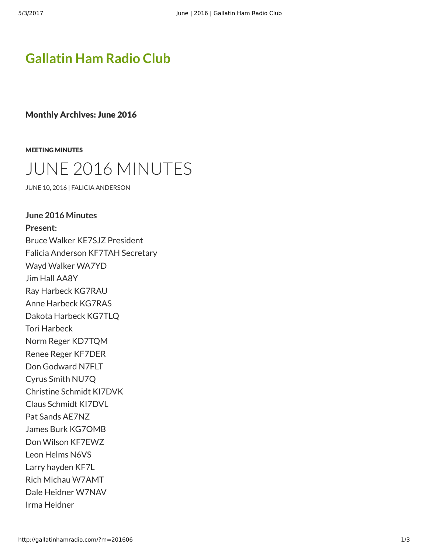# **[Gallatin Ham Radio Club](http://gallatinhamradio.com/)**

Monthly Archives: June 2016

[MEETING MINUTES](http://gallatinhamradio.com/?cat=2)



[JUNE 10, 2016](http://gallatinhamradio.com/?p=385) | [FALICIA ANDERSON](http://gallatinhamradio.com/?author=2)

**June 2016 Minutes Present:** Bruce Walker KE7SJZ President Falicia Anderson KF7TAH Secretary Wayd Walker WA7YD Jim Hall AA8Y Ray Harbeck KG7RAU Anne Harbeck KG7RAS Dakota Harbeck KG7TLQ Tori Harbeck Norm Reger KD7TQM Renee Reger KF7DER Don Godward N7FLT Cyrus Smith NU7Q Christine Schmidt KI7DVK Claus Schmidt KI7DVL Pat Sands AE7NZ James Burk KG7OMB Don Wilson KF7EWZ Leon Helms N6VS Larry hayden KF7L Rich Michau W7AMT Dale Heidner W7NAV Irma Heidner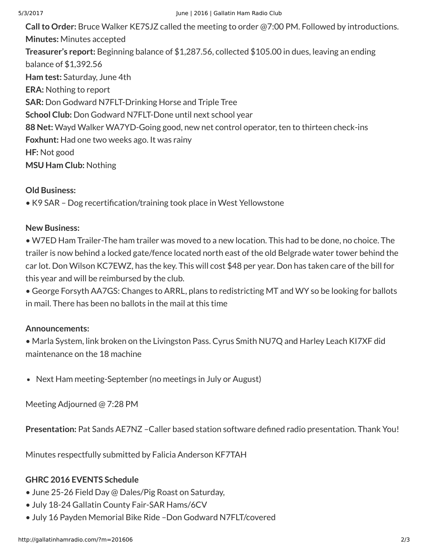**Call to Order:** Bruce Walker KE7SJZ called the meeting to order @7:00 PM. Followed by introductions. **Minutes:** Minutes accepted **Treasurer's report:** Beginning balance of \$1,287.56, collected \$105.00 in dues, leaving an ending balance of \$1,392.56 **Ham test:** Saturday, June 4th **ERA:** Nothing to report **SAR:** Don Godward N7FLT-Drinking Horse and Triple Tree **School Club:** Don Godward N7FLT-Done until next school year **88 Net:** Wayd Walker WA7YD-Going good, new net control operator, ten to thirteen check-ins **Foxhunt:** Had one two weeks ago. It was rainy **HF:** Not good **MSU Ham Club:** Nothing

### **Old Business:**

• K9 SAR - Dog recertification/training took place in West Yellowstone

#### **New Business:**

• W7ED Ham Trailer-The ham trailer was moved to a new location. This had to be done, no choice. The trailer is now behind a locked gate/fence located north east of the old Belgrade water tower behind the car lot. Don Wilson KC7EWZ, has the key. This will cost \$48 per year. Don has taken care of the bill for this year and will be reimbursed by the club.

• George Forsyth AA7GS: Changes to ARRL, plans to redistricting MT and WY so be looking for ballots in mail. There has been no ballots in the mail at this time

## **Announcements:**

• Marla System, link broken on the Livingston Pass. Cyrus Smith NU7Q and Harley Leach KI7XF did maintenance on the 18 machine

Next Ham meeting-September (no meetings in July or August)

Meeting Adjourned @ 7:28 PM

Presentation: Pat Sands AE7NZ - Caller based station software defined radio presentation. Thank You!

Minutes respectfully submitted by Falicia Anderson KF7TAH

#### **GHRC 2016 EVENTS Schedule**

- June 25-26 Field Day @ Dales/Pig Roast on Saturday,
- July 18-24 Gallatin County Fair-SAR Hams/6CV
- July 16 Payden Memorial Bike Ride –Don Godward N7FLT/covered